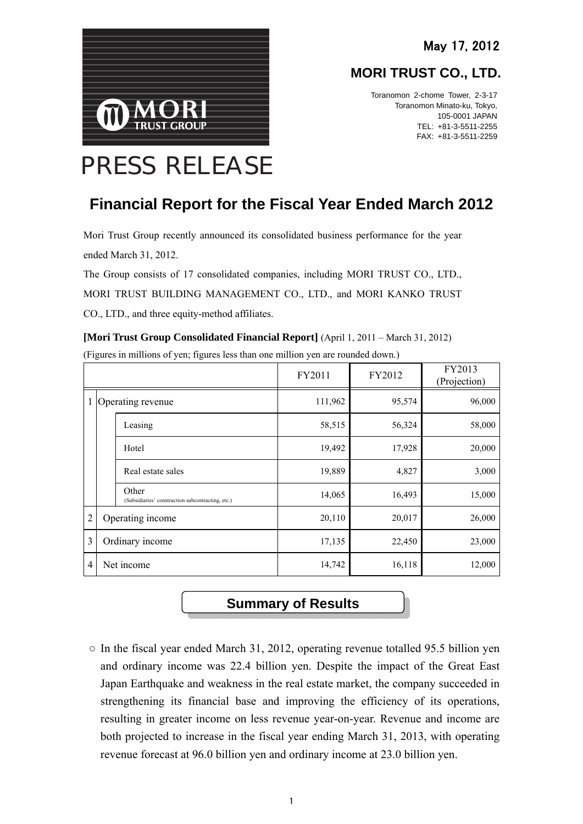

## **MORI TRUST CO., LTD.**

Toranomon 2-chome Tower, 2-3-17 Toranomon Minato-ku, Tokyo, 105-0001 JAPAN TEL: +81-3-5511-2255 FAX: +81-3-5511-2259

# PRESS RELEASE

## **Financial Report for the Fiscal Year Ended March 2012**

Mori Trust Group recently announced its consolidated business performance for the year ended March 31, 2012.

The Group consists of 17 consolidated companies, including MORI TRUST CO., LTD., MORI TRUST BUILDING MANAGEMENT CO., LTD., and MORI KANKO TRUST CO., LTD., and three equity-method affiliates.

|  | [Mori Trust Group Consolidated Financial Report] (April 1, 2011 – March 31, 2012) |  |  |  |
|--|-----------------------------------------------------------------------------------|--|--|--|
|--|-----------------------------------------------------------------------------------|--|--|--|

|                |                   |                                                            | FY2011  | FY2012 | FY2013<br>(Projection) |
|----------------|-------------------|------------------------------------------------------------|---------|--------|------------------------|
|                | Operating revenue |                                                            | 111,962 | 95,574 | 96,000                 |
|                |                   | Leasing                                                    | 58,515  | 56,324 | 58,000                 |
|                |                   | Hotel                                                      | 19,492  | 17,928 | 20,000                 |
|                |                   | Real estate sales                                          | 19,889  | 4,827  | 3,000                  |
|                |                   | Other<br>(Subsidiaries' construction subcontracting, etc.) | 14,065  | 16,493 | 15,000                 |
| $\overline{2}$ |                   | Operating income                                           | 20,110  | 20,017 | 26,000                 |
| 3              |                   | Ordinary income                                            | 17,135  | 22,450 | 23,000                 |
| $\overline{4}$ |                   | Net income                                                 | 14,742  | 16,118 | 12,000                 |

(Figures in millions of yen; figures less than one million yen are rounded down.)

## **Summary of Results**

 $\circ$  In the fiscal year ended March 31, 2012, operating revenue totalled 95.5 billion yen and ordinary income was 22.4 billion yen. Despite the impact of the Great East Japan Earthquake and weakness in the real estate market, the company succeeded in strengthening its financial base and improving the efficiency of its operations, resulting in greater income on less revenue year-on-year. Revenue and income are both projected to increase in the fiscal year ending March 31, 2013, with operating revenue forecast at 96.0 billion yen and ordinary income at 23.0 billion yen.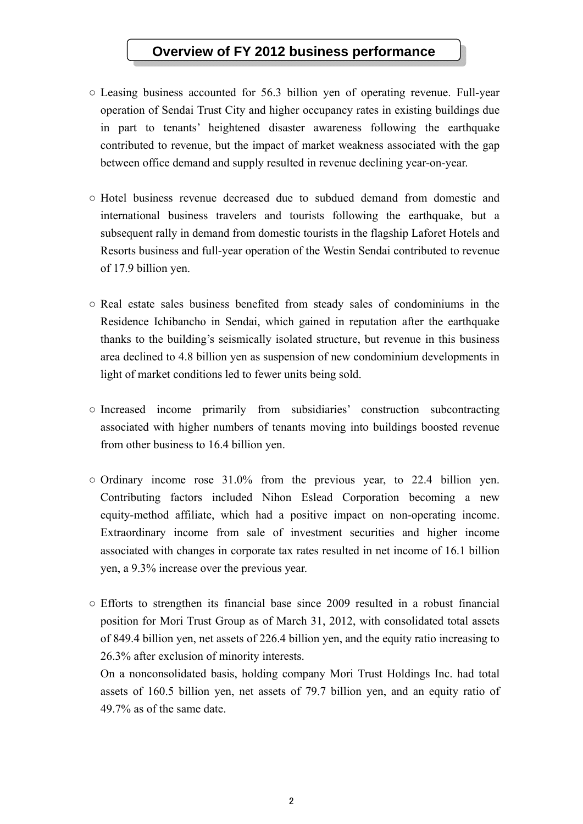## **Overview of FY 2012 business performance**

- Leasing business accounted for 56.3 billion yen of operating revenue. Full-year operation of Sendai Trust City and higher occupancy rates in existing buildings due in part to tenants' heightened disaster awareness following the earthquake contributed to revenue, but the impact of market weakness associated with the gap between office demand and supply resulted in revenue declining year-on-year.
- Hotel business revenue decreased due to subdued demand from domestic and international business travelers and tourists following the earthquake, but a subsequent rally in demand from domestic tourists in the flagship Laforet Hotels and Resorts business and full-year operation of the Westin Sendai contributed to revenue of 17.9 billion yen.
- Real estate sales business benefited from steady sales of condominiums in the Residence Ichibancho in Sendai, which gained in reputation after the earthquake thanks to the building's seismically isolated structure, but revenue in this business area declined to 4.8 billion yen as suspension of new condominium developments in light of market conditions led to fewer units being sold.
- Increased income primarily from subsidiaries' construction subcontracting associated with higher numbers of tenants moving into buildings boosted revenue from other business to 16.4 billion yen.
- Ordinary income rose 31.0% from the previous year, to 22.4 billion yen. Contributing factors included Nihon Eslead Corporation becoming a new equity-method affiliate, which had a positive impact on non-operating income. Extraordinary income from sale of investment securities and higher income associated with changes in corporate tax rates resulted in net income of 16.1 billion yen, a 9.3% increase over the previous year.
- Efforts to strengthen its financial base since 2009 resulted in a robust financial position for Mori Trust Group as of March 31, 2012, with consolidated total assets of 849.4 billion yen, net assets of 226.4 billion yen, and the equity ratio increasing to 26.3% after exclusion of minority interests.

On a nonconsolidated basis, holding company Mori Trust Holdings Inc. had total assets of 160.5 billion yen, net assets of 79.7 billion yen, and an equity ratio of 49.7% as of the same date.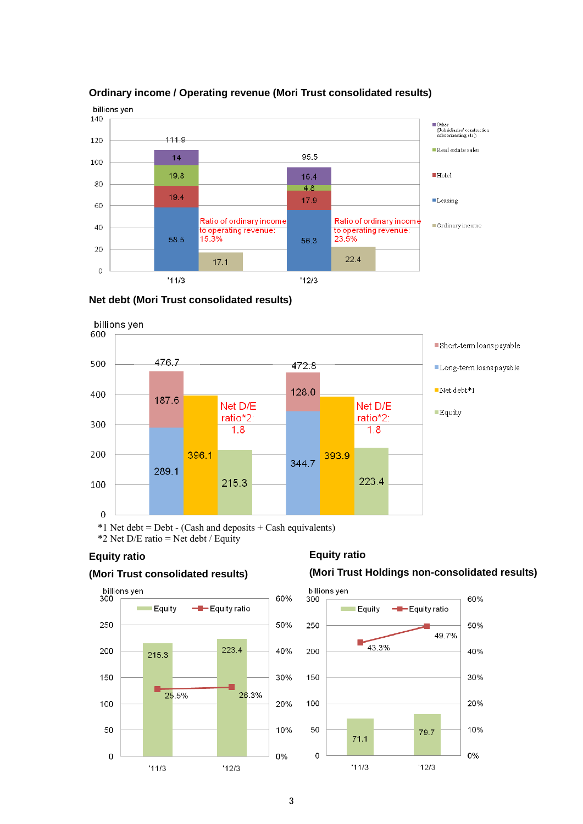

#### **Ordinary income / Operating revenue (Mori Trust consolidated results)**





\*2 Net  $D/E$  ratio = Net debt / Equity

#### **Equity ratio**

#### **(Mori Trust consolidated results)**

#### **Equity ratio**

#### **(Mori Trust Holdings non-consolidated results)**



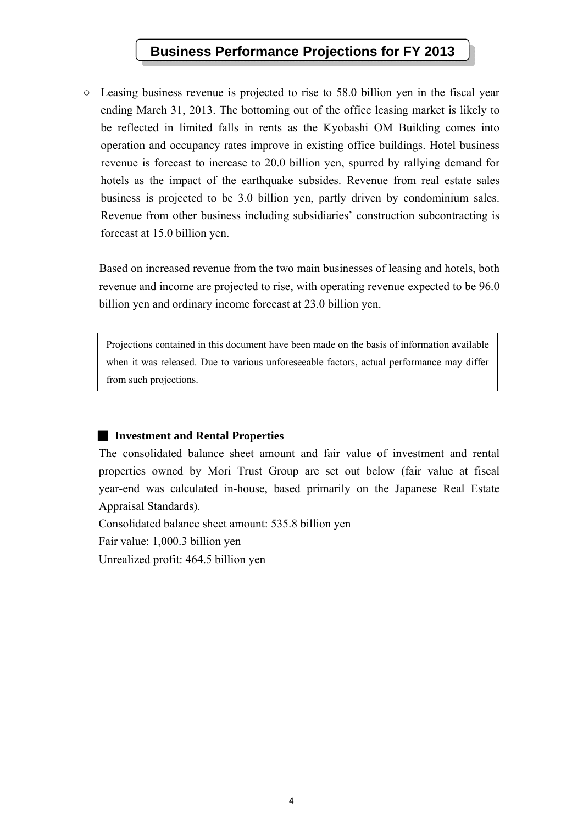## **Business Performance Projections for FY 2013**

○ Leasing business revenue is projected to rise to 58.0 billion yen in the fiscal year ending March 31, 2013. The bottoming out of the office leasing market is likely to be reflected in limited falls in rents as the Kyobashi OM Building comes into operation and occupancy rates improve in existing office buildings. Hotel business revenue is forecast to increase to 20.0 billion yen, spurred by rallying demand for hotels as the impact of the earthquake subsides. Revenue from real estate sales business is projected to be 3.0 billion yen, partly driven by condominium sales. Revenue from other business including subsidiaries' construction subcontracting is forecast at 15.0 billion yen.

Based on increased revenue from the two main businesses of leasing and hotels, both revenue and income are projected to rise, with operating revenue expected to be 96.0 billion yen and ordinary income forecast at 23.0 billion yen.

Projections contained in this document have been made on the basis of information available when it was released. Due to various unforeseeable factors, actual performance may differ from such projections.

#### ■ **Investment and Rental Properties**

The consolidated balance sheet amount and fair value of investment and rental properties owned by Mori Trust Group are set out below (fair value at fiscal year-end was calculated in-house, based primarily on the Japanese Real Estate Appraisal Standards).

Consolidated balance sheet amount: 535.8 billion yen

Fair value: 1,000.3 billion yen

Unrealized profit: 464.5 billion yen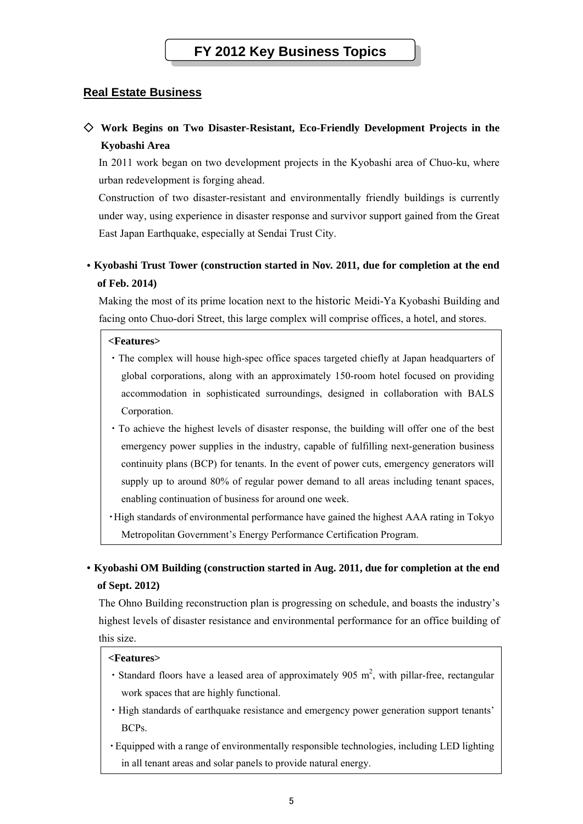### **Real Estate Business**

## ◇ **Work Begins on Two Disaster-Resistant, Eco-Friendly Development Projects in the Kyobashi Area**

In 2011 work began on two development projects in the Kyobashi area of Chuo-ku, where urban redevelopment is forging ahead.

Construction of two disaster-resistant and environmentally friendly buildings is currently under way, using experience in disaster response and survivor support gained from the Great East Japan Earthquake, especially at Sendai Trust City.

## ・**Kyobashi Trust Tower (construction started in Nov. 2011, due for completion at the end of Feb. 2014)**

Making the most of its prime location next to the historic Meidi-Ya Kyobashi Building and facing onto Chuo-dori Street, this large complex will comprise offices, a hotel, and stores.

#### **<Features>**

- ・The complex will house high-spec office spaces targeted chiefly at Japan headquarters of global corporations, along with an approximately 150-room hotel focused on providing accommodation in sophisticated surroundings, designed in collaboration with BALS Corporation.
- ・To achieve the highest levels of disaster response, the building will offer one of the best emergency power supplies in the industry, capable of fulfilling next-generation business continuity plans (BCP) for tenants. In the event of power cuts, emergency generators will supply up to around 80% of regular power demand to all areas including tenant spaces, enabling continuation of business for around one week.

・High standards of environmental performance have gained the highest AAA rating in Tokyo Metropolitan Government's Energy Performance Certification Program.

## ・**Kyobashi OM Building (construction started in Aug. 2011, due for completion at the end of Sept. 2012)**

The Ohno Building reconstruction plan is progressing on schedule, and boasts the industry's highest levels of disaster resistance and environmental performance for an office building of this size.

#### **<Features>**

- Standard floors have a leased area of approximately 905  $m^2$ , with pillar-free, rectangular work spaces that are highly functional.
- ・High standards of earthquake resistance and emergency power generation support tenants' BCPs.
- ・Equipped with a range of environmentally responsible technologies, including LED lighting in all tenant areas and solar panels to provide natural energy.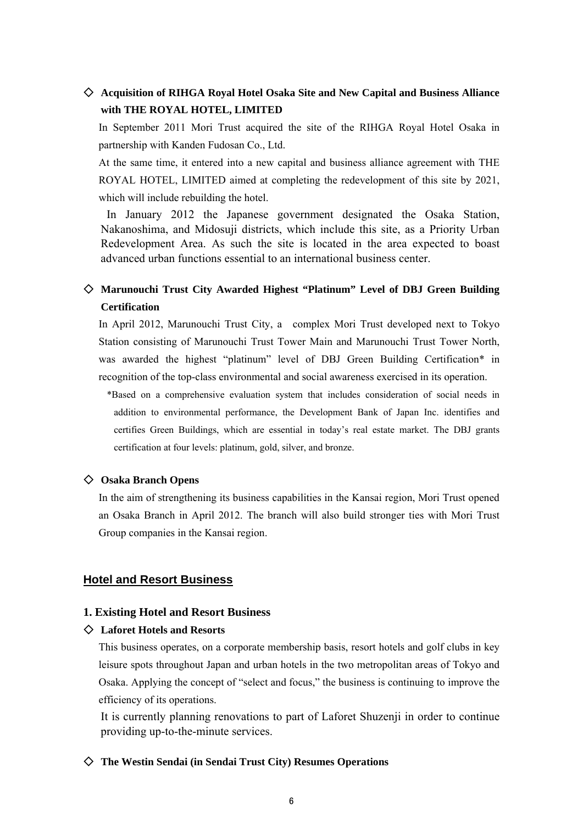### ◇ **Acquisition of RIHGA Royal Hotel Osaka Site and New Capital and Business Alliance with THE ROYAL HOTEL, LIMITED**

In September 2011 Mori Trust acquired the site of the RIHGA Royal Hotel Osaka in partnership with Kanden Fudosan Co., Ltd.

At the same time, it entered into a new capital and business alliance agreement with THE ROYAL HOTEL, LIMITED aimed at completing the redevelopment of this site by 2021, which will include rebuilding the hotel.

 In January 2012 the Japanese government designated the Osaka Station, Nakanoshima, and Midosuji districts, which include this site, as a Priority Urban Redevelopment Area. As such the site is located in the area expected to boast advanced urban functions essential to an international business center.

## ◇ **Marunouchi Trust City Awarded Highest "Platinum" Level of DBJ Green Building Certification**

In April 2012, Marunouchi Trust City, a complex Mori Trust developed next to Tokyo Station consisting of Marunouchi Trust Tower Main and Marunouchi Trust Tower North, was awarded the highest "platinum" level of DBJ Green Building Certification\* in recognition of the top-class environmental and social awareness exercised in its operation.

\*Based on a comprehensive evaluation system that includes consideration of social needs in addition to environmental performance, the Development Bank of Japan Inc. identifies and certifies Green Buildings, which are essential in today's real estate market. The DBJ grants certification at four levels: platinum, gold, silver, and bronze.

#### ◇ **Osaka Branch Opens**

In the aim of strengthening its business capabilities in the Kansai region, Mori Trust opened an Osaka Branch in April 2012. The branch will also build stronger ties with Mori Trust Group companies in the Kansai region.

#### **Hotel and Resort Business**

#### **1. Existing Hotel and Resort Business**

#### ◇ **Laforet Hotels and Resorts**

This business operates, on a corporate membership basis, resort hotels and golf clubs in key leisure spots throughout Japan and urban hotels in the two metropolitan areas of Tokyo and Osaka. Applying the concept of "select and focus," the business is continuing to improve the efficiency of its operations.

It is currently planning renovations to part of Laforet Shuzenji in order to continue providing up-to-the-minute services.

#### ◇ **The Westin Sendai (in Sendai Trust City) Resumes Operations**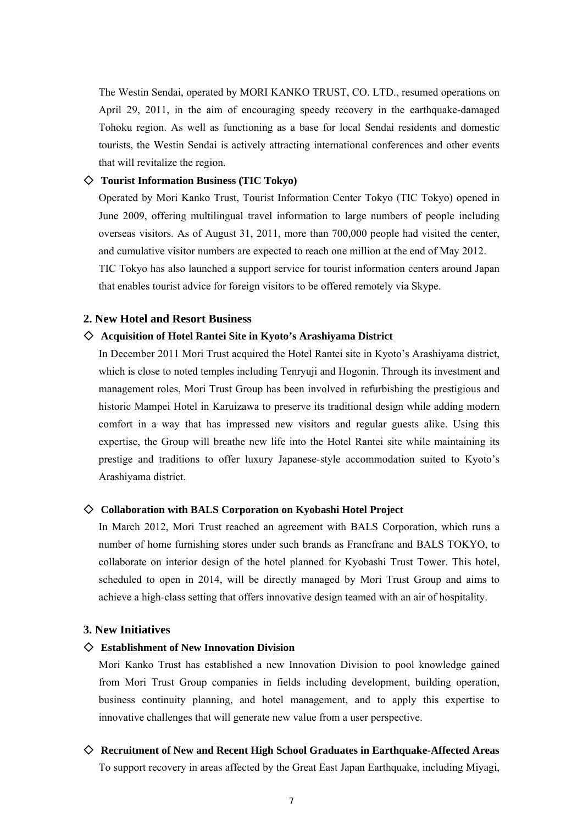The Westin Sendai, operated by MORI KANKO TRUST, CO. LTD., resumed operations on April 29, 2011, in the aim of encouraging speedy recovery in the earthquake-damaged Tohoku region. As well as functioning as a base for local Sendai residents and domestic tourists, the Westin Sendai is actively attracting international conferences and other events that will revitalize the region.

#### ◇ **Tourist Information Business (TIC Tokyo)**

Operated by Mori Kanko Trust, Tourist Information Center Tokyo (TIC Tokyo) opened in June 2009, offering multilingual travel information to large numbers of people including overseas visitors. As of August 31, 2011, more than 700,000 people had visited the center, and cumulative visitor numbers are expected to reach one million at the end of May 2012. TIC Tokyo has also launched a support service for tourist information centers around Japan that enables tourist advice for foreign visitors to be offered remotely via Skype.

#### **2. New Hotel and Resort Business**

#### ◇ **Acquisition of Hotel Rantei Site in Kyoto's Arashiyama District**

In December 2011 Mori Trust acquired the Hotel Rantei site in Kyoto's Arashiyama district, which is close to noted temples including Tenryuji and Hogonin. Through its investment and management roles, Mori Trust Group has been involved in refurbishing the prestigious and historic Mampei Hotel in Karuizawa to preserve its traditional design while adding modern comfort in a way that has impressed new visitors and regular guests alike. Using this expertise, the Group will breathe new life into the Hotel Rantei site while maintaining its prestige and traditions to offer luxury Japanese-style accommodation suited to Kyoto's Arashiyama district.

#### ◇ **Collaboration with BALS Corporation on Kyobashi Hotel Project**

In March 2012, Mori Trust reached an agreement with BALS Corporation, which runs a number of home furnishing stores under such brands as Francfranc and BALS TOKYO, to collaborate on interior design of the hotel planned for Kyobashi Trust Tower. This hotel, scheduled to open in 2014, will be directly managed by Mori Trust Group and aims to achieve a high-class setting that offers innovative design teamed with an air of hospitality.

#### **3. New Initiatives**

#### ◇ **Establishment of New Innovation Division**

Mori Kanko Trust has established a new Innovation Division to pool knowledge gained from Mori Trust Group companies in fields including development, building operation, business continuity planning, and hotel management, and to apply this expertise to innovative challenges that will generate new value from a user perspective.

## ◇ **Recruitment of New and Recent High School Graduates in Earthquake-Affected Areas**

To support recovery in areas affected by the Great East Japan Earthquake, including Miyagi,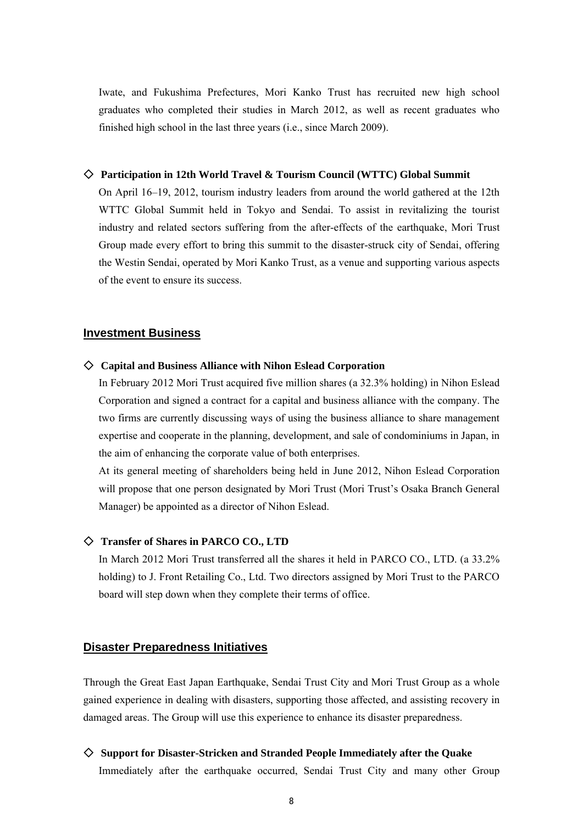Iwate, and Fukushima Prefectures, Mori Kanko Trust has recruited new high school graduates who completed their studies in March 2012, as well as recent graduates who finished high school in the last three years (i.e., since March 2009).

#### ◇ **Participation in 12th World Travel & Tourism Council (WTTC) Global Summit**

On April 16–19, 2012, tourism industry leaders from around the world gathered at the 12th WTTC Global Summit held in Tokyo and Sendai. To assist in revitalizing the tourist industry and related sectors suffering from the after-effects of the earthquake, Mori Trust Group made every effort to bring this summit to the disaster-struck city of Sendai, offering the Westin Sendai, operated by Mori Kanko Trust, as a venue and supporting various aspects of the event to ensure its success.

#### **Investment Business**

#### ◇ **Capital and Business Alliance with Nihon Eslead Corporation**

In February 2012 Mori Trust acquired five million shares (a 32.3% holding) in Nihon Eslead Corporation and signed a contract for a capital and business alliance with the company. The two firms are currently discussing ways of using the business alliance to share management expertise and cooperate in the planning, development, and sale of condominiums in Japan, in the aim of enhancing the corporate value of both enterprises.

At its general meeting of shareholders being held in June 2012, Nihon Eslead Corporation will propose that one person designated by Mori Trust (Mori Trust's Osaka Branch General Manager) be appointed as a director of Nihon Eslead.

#### ◇ **Transfer of Shares in PARCO CO., LTD**

In March 2012 Mori Trust transferred all the shares it held in PARCO CO., LTD. (a 33.2% holding) to J. Front Retailing Co., Ltd. Two directors assigned by Mori Trust to the PARCO board will step down when they complete their terms of office.

#### **Disaster Preparedness Initiatives**

Through the Great East Japan Earthquake, Sendai Trust City and Mori Trust Group as a whole gained experience in dealing with disasters, supporting those affected, and assisting recovery in damaged areas. The Group will use this experience to enhance its disaster preparedness.

◇ **Support for Disaster-Stricken and Stranded People Immediately after the Quake**  Immediately after the earthquake occurred, Sendai Trust City and many other Group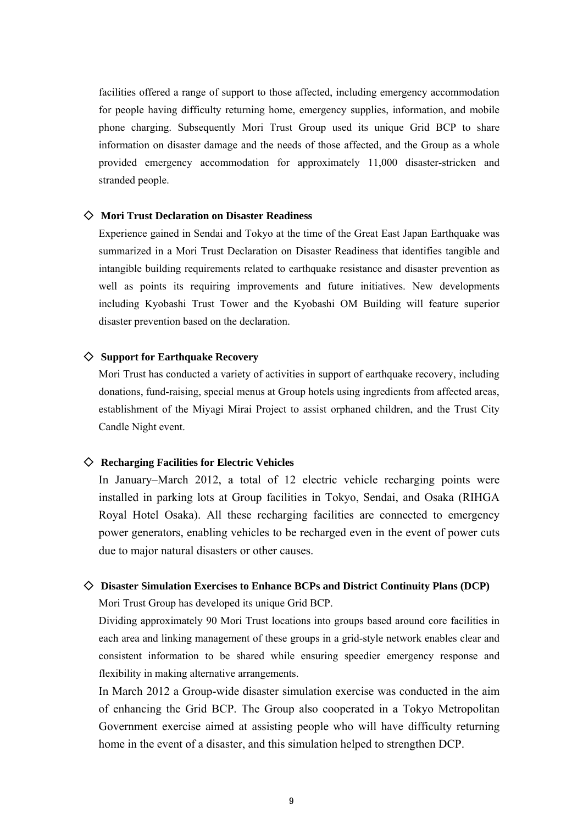facilities offered a range of support to those affected, including emergency accommodation for people having difficulty returning home, emergency supplies, information, and mobile phone charging. Subsequently Mori Trust Group used its unique Grid BCP to share information on disaster damage and the needs of those affected, and the Group as a whole provided emergency accommodation for approximately 11,000 disaster-stricken and stranded people.

#### ◇ **Mori Trust Declaration on Disaster Readiness**

Experience gained in Sendai and Tokyo at the time of the Great East Japan Earthquake was summarized in a Mori Trust Declaration on Disaster Readiness that identifies tangible and intangible building requirements related to earthquake resistance and disaster prevention as well as points its requiring improvements and future initiatives. New developments including Kyobashi Trust Tower and the Kyobashi OM Building will feature superior disaster prevention based on the declaration.

#### ◇ **Support for Earthquake Recovery**

Mori Trust has conducted a variety of activities in support of earthquake recovery, including donations, fund-raising, special menus at Group hotels using ingredients from affected areas, establishment of the Miyagi Mirai Project to assist orphaned children, and the Trust City Candle Night event.

#### ◇ **Recharging Facilities for Electric Vehicles**

In January–March 2012, a total of 12 electric vehicle recharging points were installed in parking lots at Group facilities in Tokyo, Sendai, and Osaka (RIHGA Royal Hotel Osaka). All these recharging facilities are connected to emergency power generators, enabling vehicles to be recharged even in the event of power cuts due to major natural disasters or other causes.

#### ◇ **Disaster Simulation Exercises to Enhance BCPs and District Continuity Plans (DCP)**

Mori Trust Group has developed its unique Grid BCP.

Dividing approximately 90 Mori Trust locations into groups based around core facilities in each area and linking management of these groups in a grid-style network enables clear and consistent information to be shared while ensuring speedier emergency response and flexibility in making alternative arrangements.

In March 2012 a Group-wide disaster simulation exercise was conducted in the aim of enhancing the Grid BCP. The Group also cooperated in a Tokyo Metropolitan Government exercise aimed at assisting people who will have difficulty returning home in the event of a disaster, and this simulation helped to strengthen DCP.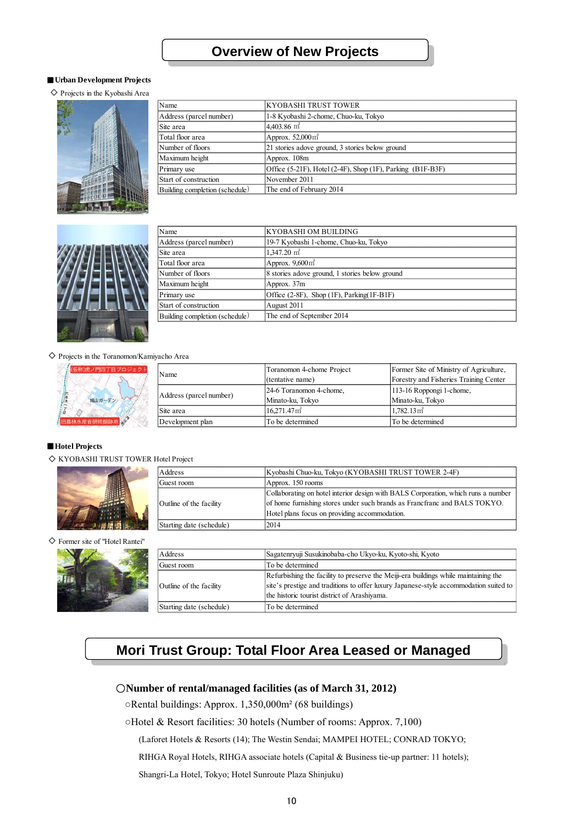#### ■**Urban Development Projects**

◇ Projects in the Kyobashi Area



| Name                           | KYOBASHI TRUST TOWER                                       |
|--------------------------------|------------------------------------------------------------|
| Address (parcel number)        | 1-8 Kyobashi 2-chome, Chuo-ku, Tokyo                       |
| Site area                      | $4,403.86$ m <sup>2</sup>                                  |
| Total floor area               | Approx. $52,000 \text{ m}^2$                               |
| Number of floors               | 21 stories adove ground, 3 stories below ground            |
| Maximum height                 | Approx. 108m                                               |
| Primary use                    | Office (5-21F), Hotel (2-4F), Shop (1F), Parking (B1F-B3F) |
| Start of construction          | November 2011                                              |
| Building completion (schedule) | The end of February 2014                                   |



| Name                           | <b>KYOBASHI OM BUILDING</b>                        |
|--------------------------------|----------------------------------------------------|
| Address (parcel number)        | 19-7 Kyobashi 1-chome, Chuo-ku, Tokyo              |
| Site area                      | $1.347.20 \text{ m}^2$                             |
| Total floor area               | Approx. $9,600 \text{ m}^2$                        |
| Number of floors               | 8 stories adove ground, 1 stories below ground     |
| Maximum height                 | Approx. $37m$                                      |
| Primary use                    | Office $(2-8F)$ , Shop $(1F)$ , Parking $(1F-B1F)$ |
| Start of construction          | August 2011                                        |
| Building completion (schedule) | The end of September 2014                          |

◇ Projects in the Toranomon/Kamiyacho Area



| Name                    | Toranomon 4-chome Project<br>(tentative name) | Former Site of Ministry of Agriculture,<br>Forestry and Fisheries Training Center |
|-------------------------|-----------------------------------------------|-----------------------------------------------------------------------------------|
| Address (parcel number) | 24-6 Toranomon 4-chome,                       | 113-16 Roppongi 1-chome,                                                          |
|                         | Minato-ku, Tokyo                              | Minato-ku, Tokyo                                                                  |
| Site area               | $16.271.47$ m <sup>2</sup>                    | $1.782.13 \,\mathrm{m}^2$                                                         |
| Development plan        | To be determined                              | To be determined                                                                  |

#### ■**Hotel Projects**

◇ KYOBASHI TRUST TOWER Hotel Project



Address Guest room Outline of the facility Starting date (schedule) 2014 Approx. 150 rooms Collaborating on hotel interior design with BALS Corporation, which runs a number of home furnishing stores under such brands as Francfranc and BALS TOKYO. Hotel plans focus on providing accommodation. Kyobashi Chuo-ku, Tokyo (KYOBASHI TRUST TOWER 2-4F)

#### ◇ Former site of "Hotel Rantei"



| Address                  | Sagatenryuji Susukinobaba-cho Ukyo-ku, Kyoto-shi, Kyoto                               |
|--------------------------|---------------------------------------------------------------------------------------|
|                          |                                                                                       |
| Guest room               | To be determined                                                                      |
|                          | Refurbishing the facility to preserve the Meiji-era buildings while maintaining the   |
| Outline of the facility  | site's prestige and traditions to offer luxury Japanese-style accommodation suited to |
|                          | the historic tourist district of Arashiyama.                                          |
| Starting date (schedule) | To be determined                                                                      |

## **Mori Trust Group: Total Floor Area Leased or Managed**

#### ○**Number of rental/managed facilities (as of March 31, 2012)**

○Rental buildings: Approx. 1,350,000m² (68 buildings)

○Hotel & Resort facilities: 30 hotels (Number of rooms: Approx. 7,100)

(Laforet Hotels & Resorts (14); The Westin Sendai; MAMPEI HOTEL; CONRAD TOKYO;

RIHGA Royal Hotels, RIHGA associate hotels (Capital & Business tie-up partner: 11 hotels);

Shangri-La Hotel, Tokyo; Hotel Sunroute Plaza Shinjuku)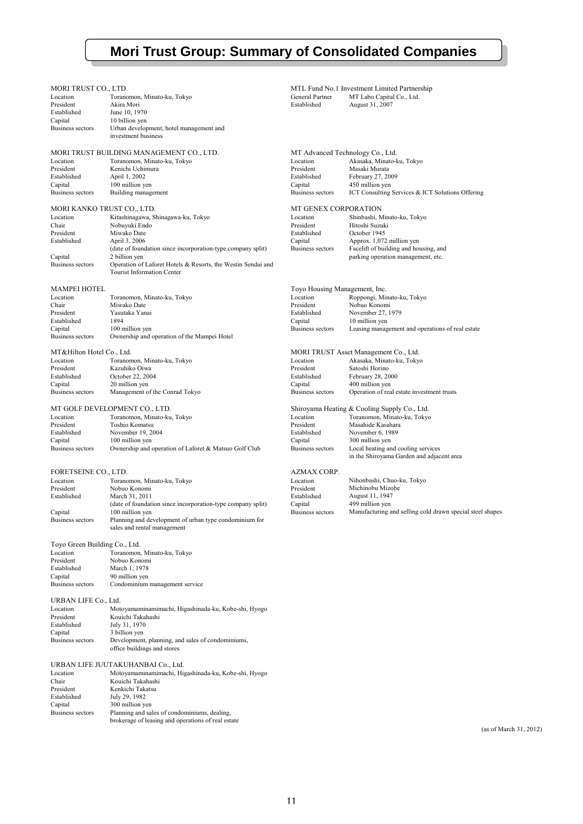## **Mori Trust Group: Summary of Consolidated Companies**

| MORI TRUST CO., LTD.<br>Location<br>President | Toranomon, Minato-ku, Tokyo<br>Akira Mori                                                                          | General Partner<br>Established             | MTL Fund No.1 Investment Limited Partnership<br>MT Labo Capital Co., Ltd.<br>August 31, 2007 |
|-----------------------------------------------|--------------------------------------------------------------------------------------------------------------------|--------------------------------------------|----------------------------------------------------------------------------------------------|
| Established<br>Capital<br>Business sectors    | June 10, 1970<br>10 billion yen<br>Urban development, hotel management and                                         |                                            |                                                                                              |
|                                               | investment business<br>MORI TRUST BUILDING MANAGEMENT CO., LTD.                                                    | MT Advanced Technology Co., Ltd.           |                                                                                              |
| Location<br>President                         | Toranomon, Minato-ku, Tokyo<br>Kenichi Uchimura                                                                    | Location<br>President                      | Akasaka, Minato-ku, Tokyo<br>Masaki Murata                                                   |
| Established<br>Capital<br>Business sectors    | April 1, 2002<br>100 million yen<br>Building management                                                            | Established<br>Capital<br>Business sectors | February 27, 2009<br>450 million yen<br>ICT Consulting Services & ICT Solutions Offering     |
| MORI KANKO TRUST CO., LTD.                    |                                                                                                                    | MT GENEX CORPORATION                       |                                                                                              |
| Location<br>Chair<br>President                | Kitashinagawa, Shinagawa-ku, Tokyo<br>Nobuyuki Endo<br>Miwako Date                                                 | Location<br>President<br>Established       | Shinbashi, Minato-ku, Tokyo<br>Hitoshi Suzuki<br>October 1945                                |
| Established                                   | April 3, 2006<br>(date of foundation since incorporation-type company split)                                       | Capital<br><b>Business sectors</b>         | Approx. 1,072 million yen<br>Facelift of building and housing, and                           |
| Capital<br>Business sectors                   | 2 billion yen<br>Operation of Laforet Hotels & Resorts, the Westin Sendai and<br><b>Tourist Information Center</b> |                                            | parking operation management, etc.                                                           |
| <b>MAMPEI HOTEL</b>                           |                                                                                                                    | Toyo Housing Management, Inc.              |                                                                                              |
| Location<br>Chair                             | Toranomon, Minato-ku, Tokyo<br>Miwako Date<br>Yasutaka Yanai                                                       | Location<br>President<br>Established       | Roppongi, Minato-ku, Tokyo<br>Nobuo Konomi                                                   |
| President<br>Established<br>Capital           | 1894<br>100 million yen                                                                                            | Capital<br><b>Business sectors</b>         | November 27, 1979<br>10 million yen<br>Leasing management and operations of real estate      |
| <b>Business sectors</b>                       | Ownership and operation of the Mampei Hotel                                                                        |                                            |                                                                                              |
| MT&Hilton Hotel Co., Ltd.<br>Location         | Toranomon, Minato-ku, Tokyo                                                                                        | Location                                   | MORI TRUST Asset Management Co., Ltd.<br>Akasaka, Minato-ku, Tokyo                           |
| President<br>Established                      | Kazuhiko Oiwa<br>October 22, 2004                                                                                  | President<br>Established                   | Satoshi Horino<br>February 28, 2000                                                          |
| Capital<br>Business sectors                   | 20 million yen<br>Management of the Conrad Tokyo                                                                   | Capital<br><b>Business sectors</b>         | 400 million yen<br>Operation of real estate investment trusts                                |
|                                               | MT GOLF DEVELOPMENT CO., LTD.                                                                                      |                                            | Shiroyama Heating & Cooling Supply Co., Ltd.                                                 |
| Location<br>President                         | Toranomon, Minato-ku, Tokyo<br>Toshio Komatsu                                                                      | Location<br>President                      | Toranomon, Minato-ku, Tokyo<br>Masahide Kasahara                                             |
| Established<br>Capital                        | November 19, 2004<br>100 million yen                                                                               | Established<br>Capital                     | November 6, 1989<br>300 million yen                                                          |
| <b>Business sectors</b>                       | Ownership and operation of Laforet & Matsuo Golf Club                                                              | <b>Business sectors</b>                    | Local heating and cooling services<br>in the Shiroyama Garden and adjacent area              |
| FORETSEINE CO., LTD.<br>Location              | Toranomon, Minato-ku, Tokyo                                                                                        | <b>AZMAX CORP.</b><br>Location             | Nihonbashi, Chuo-ku, Tokyo                                                                   |
| President<br>Established                      | Nobuo Konomi<br>March 31, 2011                                                                                     | President<br>Established                   | Michinobu Mizobe<br>August 11, 1947                                                          |
| Capital                                       | (date of foundation since incorporation-type company split)<br>100 million yen                                     | Capital<br><b>Business sectors</b>         | 499 million yen<br>Manufacturing and selling cold drawn special steel shapes                 |
| Business sectors                              | Planning and development of urban type condominium for<br>sales and rental management                              |                                            |                                                                                              |
| Toyo Green Building Co., Ltd.<br>Location     | Toranomon, Minato-ku, Tokyo                                                                                        |                                            |                                                                                              |
| President<br>Established                      | Nobuo Konomi<br>March 1, 1978                                                                                      |                                            |                                                                                              |
| Capital<br><b>Business sectors</b>            | 90 million yen<br>Condominium management service                                                                   |                                            |                                                                                              |
| URBAN LIFE Co., Ltd.                          |                                                                                                                    |                                            |                                                                                              |
| Location<br>President                         | Motoyamaminamimachi, Higashinada-ku, Kobe-shi, Hyogo<br>Kouichi Takahashi                                          |                                            |                                                                                              |
| Established<br>Capital                        | July 31, 1970<br>3 billion yen                                                                                     |                                            |                                                                                              |
| <b>Business sectors</b>                       | Development, planning, and sales of condominiums,<br>office buildings and stores                                   |                                            |                                                                                              |
|                                               | URBAN LIFE JUUTAKUHANBAI Co., Ltd.                                                                                 |                                            |                                                                                              |
| Location<br>Chair                             | Motoyamaminamimachi, Higashinada-ku, Kobe-shi, Hyogo<br>Kouichi Takahashi                                          |                                            |                                                                                              |
| President<br>Established                      | Kenkichi Takatsu<br>July 29, 1982                                                                                  |                                            |                                                                                              |
| Capital<br><b>Business sectors</b>            | 300 million yen<br>Planning and sales of condominiums, dealing,                                                    |                                            |                                                                                              |
|                                               | brokerage of leasing and operations of real estate                                                                 |                                            |                                                                                              |

(as of March 31, 2012)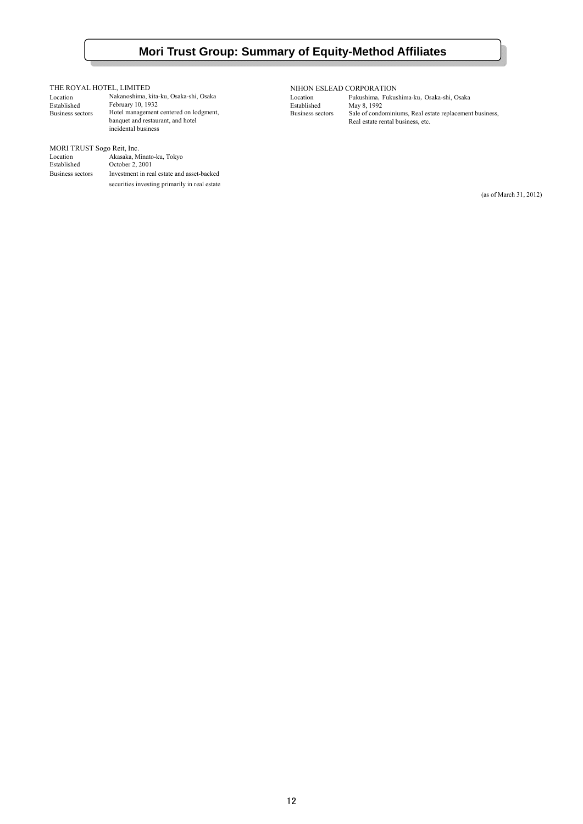## **Mori Trust Group: Summary of Equity-Method Affiliates**

#### THE ROYAL HOTEL, LIMITED

| Location         | Nakanoshima, kita-ku, Osaka-shi, Osaka |
|------------------|----------------------------------------|
| Established      | February 10, 1932                      |
| Business sectors | Hotel management centered on lodgment, |
|                  | banquet and restaurant, and hotel      |
|                  | incidental business                    |

#### MORI TRUST Sogo Reit, Inc.

| Location         | Akasaka, Minato-ku, Tokyo                     |
|------------------|-----------------------------------------------|
| Established      | October 2, 2001                               |
| Business sectors | Investment in real estate and asset-backed    |
|                  | securities investing primarily in real estate |

NIHON ESLEAD CORPORATION

Location Fukushima, Fukushima-ku, Osaka-shi, Osaka<br>Established May 8, 1992 Established May 8, 1992<br>Business sectors Sale of condo Business sectors Hotel management centered on lodgment, Business sectors Sale of condominiums, Real estate replacement business, banquet and restaurant, and hotel **Real estate rental business**, etc.

(as of March 31, 2012)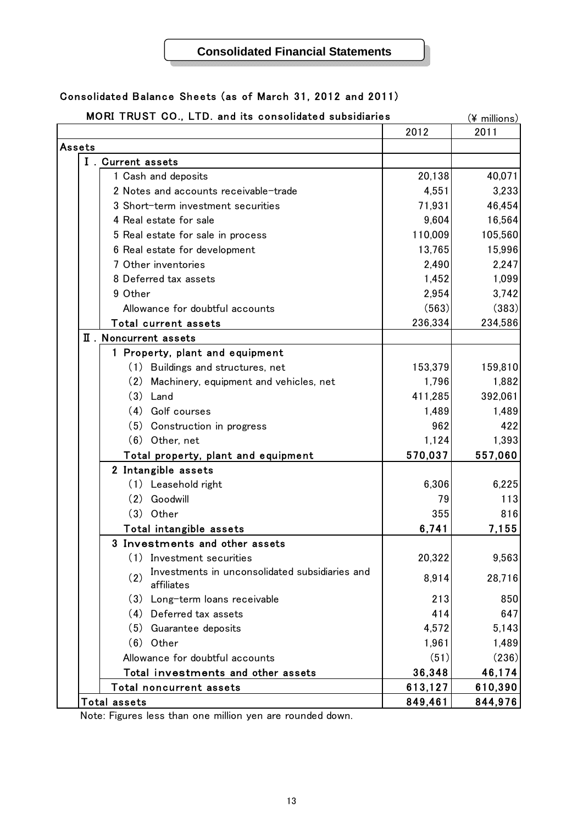## **Consolidated Financial Statements**

## Consolidated Balance Sheets (as of March 31, 2012 and 2011)

|                     | MORI TRUST CO., LTD. and its consolidated subsidiaries              |         | (¥ millions) |
|---------------------|---------------------------------------------------------------------|---------|--------------|
|                     |                                                                     | 2012    | 2011         |
| Assets              |                                                                     |         |              |
|                     | I . Current assets                                                  |         |              |
|                     | 1 Cash and deposits                                                 | 20,138  | 40,071       |
|                     | 2 Notes and accounts receivable-trade                               | 4,551   | 3,233        |
|                     | 3 Short-term investment securities                                  | 71,931  | 46,454       |
|                     | 4 Real estate for sale                                              | 9,604   | 16,564       |
|                     | 5 Real estate for sale in process                                   | 110,009 | 105,560      |
|                     | 6 Real estate for development                                       | 13,765  | 15,996       |
|                     | 7 Other inventories                                                 | 2,490   | 2,247        |
|                     | 8 Deferred tax assets                                               | 1,452   | 1,099        |
|                     | 9 Other                                                             | 2,954   | 3,742        |
|                     | Allowance for doubtful accounts                                     | (563)   | (383)        |
|                     | Total current assets                                                | 236,334 | 234,586      |
|                     | II . Noncurrent assets                                              |         |              |
|                     | 1 Property, plant and equipment                                     |         |              |
|                     | (1) Buildings and structures, net                                   | 153,379 | 159,810      |
|                     | (2) Machinery, equipment and vehicles, net                          | 1,796   | 1,882        |
|                     | $(3)$ Land                                                          | 411,285 | 392,061      |
|                     | (4) Golf courses                                                    | 1,489   | 1,489        |
|                     | (5) Construction in progress                                        | 962     | 422          |
|                     | $(6)$ Other, net                                                    | 1,124   | 1,393        |
|                     | Total property, plant and equipment                                 | 570,037 | 557,060      |
|                     | 2 Intangible assets                                                 |         |              |
|                     | (1) Leasehold right                                                 | 6,306   | 6,225        |
|                     | (2)<br>Goodwill                                                     | 79      | 113          |
|                     | $(3)$ Other                                                         | 355     | 816          |
|                     | Total intangible assets                                             | 6,741   | 7,155        |
|                     | 3 Investments and other assets                                      |         |              |
|                     | (1)<br>Investment securities                                        | 20,322  | 9,563        |
|                     | Investments in unconsolidated subsidiaries and<br>(2)<br>affiliates | 8,914   | 28,716       |
|                     | (3) Long-term loans receivable                                      | 213     | 850          |
|                     | (4) Deferred tax assets                                             | 414     | 647          |
|                     | (5)<br>Guarantee deposits                                           | 4,572   | 5,143        |
|                     | $(6)$ Other                                                         | 1,961   | 1,489        |
|                     | Allowance for doubtful accounts                                     | (51)    | (236)        |
|                     | Total investments and other assets                                  | 36,348  | 46,174       |
|                     | Total noncurrent assets                                             | 613,127 | 610,390      |
| <b>Total assets</b> |                                                                     | 849,461 | 844,976      |

Note: Figures less than one million yen are rounded down.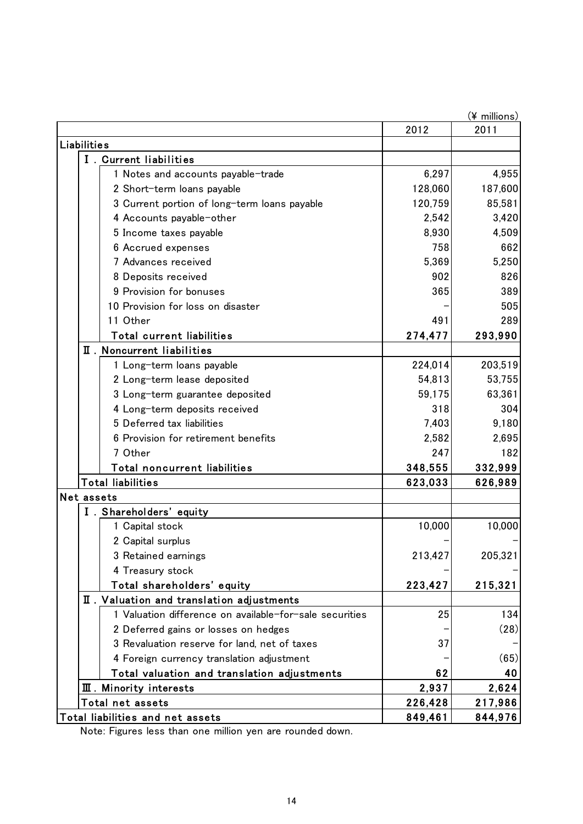|                    |                                                         |         | (¥ millions) |  |  |
|--------------------|---------------------------------------------------------|---------|--------------|--|--|
| 2012<br>2011       |                                                         |         |              |  |  |
| <b>Liabilities</b> |                                                         |         |              |  |  |
|                    | I. Current liabilities                                  |         |              |  |  |
|                    | 1 Notes and accounts payable-trade                      | 6,297   | 4,955        |  |  |
|                    | 2 Short-term loans payable                              | 128,060 | 187,600      |  |  |
|                    | 3 Current portion of long-term loans payable            | 120,759 | 85,581       |  |  |
|                    | 4 Accounts payable-other                                | 2,542   | 3,420        |  |  |
|                    | 5 Income taxes payable                                  | 8,930   | 4,509        |  |  |
|                    | 6 Accrued expenses                                      | 758     | 662          |  |  |
|                    | 7 Advances received                                     | 5,369   | 5,250        |  |  |
|                    | 8 Deposits received                                     | 902     | 826          |  |  |
|                    | 9 Provision for bonuses                                 | 365     | 389          |  |  |
|                    | 10 Provision for loss on disaster                       |         | 505          |  |  |
|                    | 11 Other                                                | 491     | 289          |  |  |
|                    | <b>Total current liabilities</b>                        | 274,477 | 293,990      |  |  |
|                    | II. Noncurrent liabilities                              |         |              |  |  |
|                    | 1 Long-term loans payable                               | 224,014 | 203,519      |  |  |
|                    | 2 Long-term lease deposited                             | 54,813  | 53,755       |  |  |
|                    | 3 Long-term guarantee deposited                         | 59,175  | 63,361       |  |  |
|                    | 4 Long-term deposits received                           | 318     | 304          |  |  |
|                    | 5 Deferred tax liabilities                              | 7,403   | 9,180        |  |  |
|                    | 6 Provision for retirement benefits                     | 2,582   | 2,695        |  |  |
|                    | 7 Other                                                 | 247     | 182          |  |  |
|                    | Total noncurrent liabilities                            | 348,555 | 332,999      |  |  |
|                    | <b>Total liabilities</b>                                | 623,033 | 626,989      |  |  |
|                    | Net assets                                              |         |              |  |  |
|                    | I. Shareholders' equity                                 |         |              |  |  |
|                    | 1 Capital stock                                         | 10,000  | 10,000       |  |  |
|                    | 2 Capital surplus                                       |         |              |  |  |
|                    | 3 Retained earnings                                     | 213,427 | 205,321      |  |  |
|                    | 4 Treasury stock                                        |         |              |  |  |
|                    | Total shareholders' equity                              | 223,427 | 215,321      |  |  |
|                    | II. Valuation and translation adjustments               |         |              |  |  |
|                    | 1 Valuation difference on available-for-sale securities | 25      | 134          |  |  |
|                    | 2 Deferred gains or losses on hedges                    |         | (28)         |  |  |
|                    | 3 Revaluation reserve for land, net of taxes            | 37      |              |  |  |
|                    | 4 Foreign currency translation adjustment               |         | (65)         |  |  |
|                    | Total valuation and translation adjustments             | 62      | 40           |  |  |
|                    | <b>III</b> . Minority interests                         | 2,937   | 2,624        |  |  |
|                    | Total net assets                                        | 226,428 | 217,986      |  |  |
|                    | Total liabilities and net assets                        | 849,461 | 844,976      |  |  |

Note: Figures less than one million yen are rounded down.